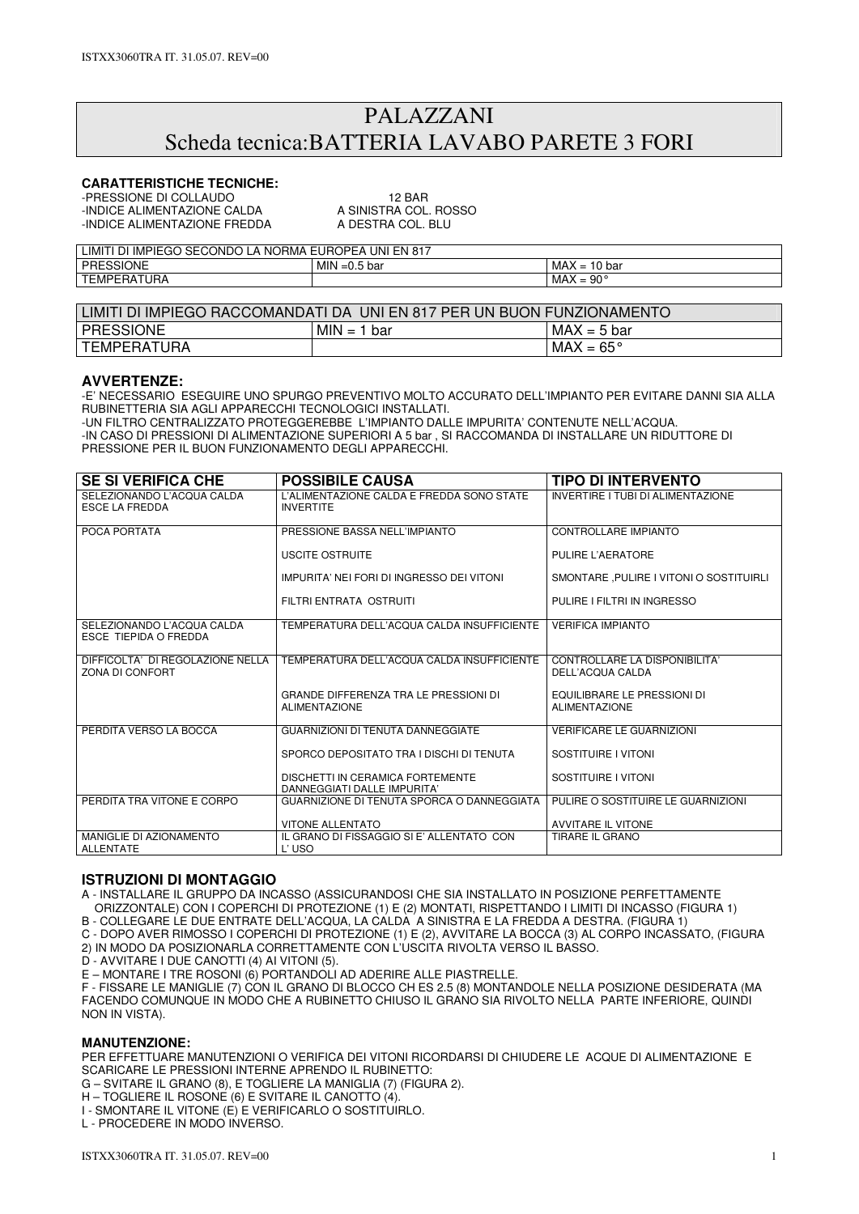# PALAZZANI Scheda tecnica:BATTERIA LAVABO PARETE 3 FORI

## **CARATTERISTICHE TECNICHE:**

-PRESSIONE DI COLLAUDO<br>-INDICE ALIMENTAZIONE CALDA A SINISTRA COL. ROSSO -INDICE ALIMENTAZIONE CALDA A SINISTRA COL. ROSSOL A A SINISTRA COL. ROSSOL A A DESTRA COL. ROSSOL A LI -INDICE ALIMENTAZIONE FREDDA

| <b>SECONDO</b><br>EN<br>∟IMI <sup>-</sup><br><b>IMPIEGO</b><br>UNI<br>LUROPEA '<br>، NC<br>817<br>)RMA<br>וט |                         |                                                                      |  |
|--------------------------------------------------------------------------------------------------------------|-------------------------|----------------------------------------------------------------------|--|
| <b>PRESSIONE</b>                                                                                             | MIN<br>5 bar<br>`' =∪.ບ | MAX<br>$\overline{a}$<br>bar<br>-<br>ט ו<br>$\overline{\phantom{0}}$ |  |
| <b>TEMPERATURA</b>                                                                                           |                         | <b>MAX</b><br>nn∘<br>-<br>$\overline{\phantom{0}}$<br>-JU            |  |

| LIMITI DI IMPIEGO RACCOMANDATI DA UNI EN 817 PER UN BUON FUNZIONAMENTO |                          |                    |  |
|------------------------------------------------------------------------|--------------------------|--------------------|--|
| PRESSIONE                                                              | <b>MIN</b><br>bar<br>$=$ | $MAX = 5 bar$      |  |
| TEMPERATURA                                                            |                          | $MAX = 65^{\circ}$ |  |

#### **AVVERTENZE:**

-E' NECESSARIO ESEGUIRE UNO SPURGO PREVENTIVO MOLTO ACCURATO DELL'IMPIANTO PER EVITARE DANNI SIA ALLA RUBINETTERIA SIA AGLI APPARECCHI TECNOLOGICI INSTALLATI. -UN FILTRO CENTRALIZZATO PROTEGGEREBBE L'IMPIANTO DALLE IMPURITA' CONTENUTE NELL'ACQUA.

-IN CASO DI PRESSIONI DI ALIMENTAZIONE SUPERIORI A 5 bar , SI RACCOMANDA DI INSTALLARE UN RIDUTTORE DI PRESSIONE PER IL BUON FUNZIONAMENTO DEGLI APPARECCHI.

| <b>SE SI VERIFICA CHE</b>                                  | <b>POSSIBILE CAUSA</b>                                               | <b>TIPO DI INTERVENTO</b>                           |
|------------------------------------------------------------|----------------------------------------------------------------------|-----------------------------------------------------|
| SELEZIONANDO L'ACOUA CALDA<br><b>ESCE LA FREDDA</b>        | L'ALIMENTAZIONE CALDA E FREDDA SONO STATE<br><b>INVERTITE</b>        | INVERTIRE I TUBI DI ALIMENTAZIONE                   |
| POCA PORTATA                                               | PRESSIONE BASSA NELL'IMPIANTO                                        | CONTROLLARE IMPIANTO                                |
|                                                            | USCITE OSTRUITE                                                      | PULIRE L'AERATORE                                   |
|                                                            | IMPURITA' NEI FORI DI INGRESSO DEI VITONI                            | SMONTARE, PULIRE I VITONI O SOSTITUIRLI             |
|                                                            | FILTRI ENTRATA OSTRUITI                                              | PULIRE I FILTRI IN INGRESSO                         |
| SELEZIONANDO L'ACOUA CALDA<br><b>ESCE TIEPIDA O FREDDA</b> | TEMPERATURA DELL'ACQUA CALDA INSUFFICIENTE                           | <b>VERIFICA IMPIANTO</b>                            |
| DIFFICOLTA' DI REGOLAZIONE NELLA<br>ZONA DI CONFORT        | TEMPERATURA DELL'ACQUA CALDA INSUFFICIENTE                           | CONTROLLARE LA DISPONIBILITA'<br>DELL'ACQUA CALDA   |
|                                                            | <b>GRANDE DIFFERENZA TRA LE PRESSIONI DI</b><br><b>ALIMENTAZIONE</b> | EQUILIBRARE LE PRESSIONI DI<br><b>ALIMENTAZIONE</b> |
| PERDITA VERSO LA BOCCA                                     | GUARNIZIONI DI TENUTA DANNEGGIATE                                    | <b>VERIFICARE LE GUARNIZIONI</b>                    |
|                                                            | SPORCO DEPOSITATO TRA I DISCHI DI TENUTA                             | SOSTITUIRE I VITONI                                 |
|                                                            | DISCHETTI IN CERAMICA FORTEMENTE<br>DANNEGGIATI DALLE IMPURITA'      | SOSTITUIRE I VITONI                                 |
| PERDITA TRA VITONE E CORPO                                 | GUARNIZIONE DI TENUTA SPORCA O DANNEGGIATA                           | PULIRE O SOSTITUIRE LE GUARNIZIONI                  |
|                                                            | <b>VITONE ALLENTATO</b>                                              | <b>AVVITARE IL VITONE</b>                           |
| MANIGLIE DI AZIONAMENTO<br><b>ALLENTATE</b>                | IL GRANO DI FISSAGGIO SI E' ALLENTATO CON<br>L'USO                   | TIRARE IL GRANO                                     |

### **ISTRUZIONI DI MONTAGGIO**

A - INSTALLARE IL GRUPPO DA INCASSO (ASSICURANDOSI CHE SIA INSTALLATO IN POSIZIONE PERFETTAMENTE ORIZZONTALE) CON I COPERCHI DI PROTEZIONE (1) E (2) MONTATI, RISPETTANDO I LIMITI DI INCASSO (FIGURA 1)

B - COLLEGARE LE DUE ENTRATE DELL'ACQUA, LA CALDA A SINISTRA E LA FREDDA A DESTRA. (FIGURA 1)

C - DOPO AVER RIMOSSO I COPERCHI DI PROTEZIONE (1) E (2), AVVITARE LA BOCCA (3) AL CORPO INCASSATO, (FIGURA 2) IN MODO DA POSIZIONARLA CORRETTAMENTE CON L'USCITA RIVOLTA VERSO IL BASSO.

D - AVVITARE I DUE CANOTTI (4) AI VITONI (5).

E – MONTARE I TRE ROSONI (6) PORTANDOLI AD ADERIRE ALLE PIASTRELLE.

F - FISSARE LE MANIGLIE (7) CON IL GRANO DI BLOCCO CH ES 2.5 (8) MONTANDOLE NELLA POSIZIONE DESIDERATA (MA FACENDO COMUNQUE IN MODO CHE A RUBINETTO CHIUSO IL GRANO SIA RIVOLTO NELLA PARTE INFERIORE, QUINDI NON IN VISTA).

#### **MANUTENZIONE:**

PER EFFETTUARE MANUTENZIONI O VERIFICA DEI VITONI RICORDARSI DI CHIUDERE LE ACQUE DI ALIMENTAZIONE E SCARICARE LE PRESSIONI INTERNE APRENDO IL RUBINETTO:

G – SVITARE IL GRANO (8), E TOGLIERE LA MANIGLIA (7) (FIGURA 2).

H – TOGLIERE IL ROSONE (6) E SVITARE IL CANOTTO (4).

I - SMONTARE IL VITONE (E) E VERIFICARLO O SOSTITUIRLO.

L - PROCEDERE IN MODO INVERSO.